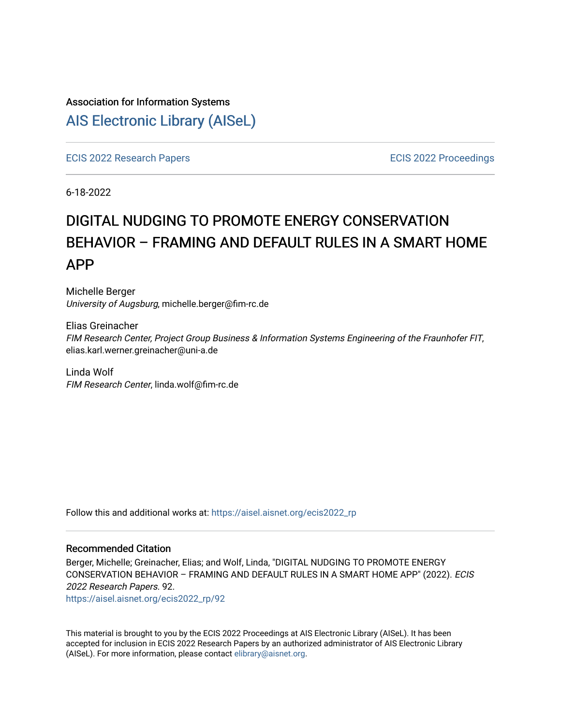# Association for Information Systems

# [AIS Electronic Library \(AISeL\)](https://aisel.aisnet.org/)

[ECIS 2022 Research Papers](https://aisel.aisnet.org/ecis2022_rp) [ECIS 2022 Proceedings](https://aisel.aisnet.org/ecis2022) 

6-18-2022

# DIGITAL NUDGING TO PROMOTE ENERGY CONSERVATION BEHAVIOR – FRAMING AND DEFAULT RULES IN A SMART HOME APP

Michelle Berger University of Augsburg, michelle.berger@fim-rc.de

Elias Greinacher FIM Research Center, Project Group Business & Information Systems Engineering of the Fraunhofer FIT, elias.karl.werner.greinacher@uni-a.de

Linda Wolf FIM Research Center, linda.wolf@fim-rc.de

Follow this and additional works at: [https://aisel.aisnet.org/ecis2022\\_rp](https://aisel.aisnet.org/ecis2022_rp?utm_source=aisel.aisnet.org%2Fecis2022_rp%2F92&utm_medium=PDF&utm_campaign=PDFCoverPages)

#### Recommended Citation

Berger, Michelle; Greinacher, Elias; and Wolf, Linda, "DIGITAL NUDGING TO PROMOTE ENERGY CONSERVATION BEHAVIOR – FRAMING AND DEFAULT RULES IN A SMART HOME APP" (2022). ECIS 2022 Research Papers. 92.

[https://aisel.aisnet.org/ecis2022\\_rp/92](https://aisel.aisnet.org/ecis2022_rp/92?utm_source=aisel.aisnet.org%2Fecis2022_rp%2F92&utm_medium=PDF&utm_campaign=PDFCoverPages) 

This material is brought to you by the ECIS 2022 Proceedings at AIS Electronic Library (AISeL). It has been accepted for inclusion in ECIS 2022 Research Papers by an authorized administrator of AIS Electronic Library (AISeL). For more information, please contact [elibrary@aisnet.org](mailto:elibrary@aisnet.org%3E).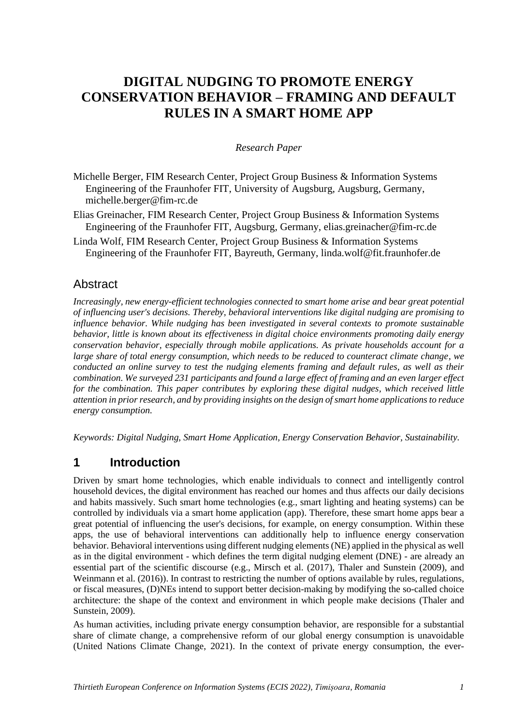# **DIGITAL NUDGING TO PROMOTE ENERGY CONSERVATION BEHAVIOR – FRAMING AND DEFAULT RULES IN A SMART HOME APP**

#### *Research Paper*

- Michelle Berger, FIM Research Center, Project Group Business & Information Systems Engineering of the Fraunhofer FIT, University of Augsburg, Augsburg, Germany, [michelle.berger@fim-rc.de](mailto:michelle.berger@fim-rc.de)
- Elias Greinacher, FIM Research Center, Project Group Business & Information Systems Engineering of the Fraunhofer FIT, Augsburg, Germany, [elias.greinacher@fim-rc.de](mailto:elias.greinacher@fim-rc.de)
- Linda Wolf, FIM Research Center, Project Group Business & Information Systems Engineering of the Fraunhofer FIT, Bayreuth, Germany, [linda.wolf@fit.fraunhofer.de](mailto:linda.wolf@fit.fraunhofer.de)

### **Abstract**

*Increasingly, new energy-efficient technologies connected to smart home arise and bear great potential of influencing user's decisions. Thereby, behavioral interventions like digital nudging are promising to influence behavior. While nudging has been investigated in several contexts to promote sustainable behavior, little is known about its effectiveness in digital choice environments promoting daily energy conservation behavior, especially through mobile applications. As private households account for a large share of total energy consumption, which needs to be reduced to counteract climate change, we conducted an online survey to test the nudging elements framing and default rules, as well as their combination. We surveyed 231 participants and found a large effect of framing and an even larger effect for the combination. This paper contributes by exploring these digital nudges, which received little attention in prior research, and by providing insights on the design of smart home applications to reduce energy consumption.*

*Keywords: Digital Nudging, Smart Home Application, Energy Conservation Behavior, Sustainability.*

### **1 Introduction**

Driven by smart home technologies, which enable individuals to connect and intelligently control household devices, the digital environment has reached our homes and thus affects our daily decisions and habits massively. Such smart home technologies (e.g., smart lighting and heating systems) can be controlled by individuals via a smart home application (app). Therefore, these smart home apps bear a great potential of influencing the user's decisions, for example, on energy consumption. Within these apps, the use of behavioral interventions can additionally help to influence energy conservation behavior. Behavioral interventions using different nudging elements (NE) applied in the physical as well as in the digital environment - which defines the term digital nudging element (DNE) - are already an essential part of the scientific discourse (e.g., Mirsch et al. (2017), Thaler and Sunstein (2009), and Weinmann et al. (2016)). In contrast to restricting the number of options available by rules, regulations, or fiscal measures, (D)NEs intend to support better decision-making by modifying the so-called choice architecture: the shape of the context and environment in which people make decisions (Thaler and Sunstein, 2009).

As human activities, including private energy consumption behavior, are responsible for a substantial share of climate change, a comprehensive reform of our global energy consumption is unavoidable (United Nations Climate Change, 2021). In the context of private energy consumption, the ever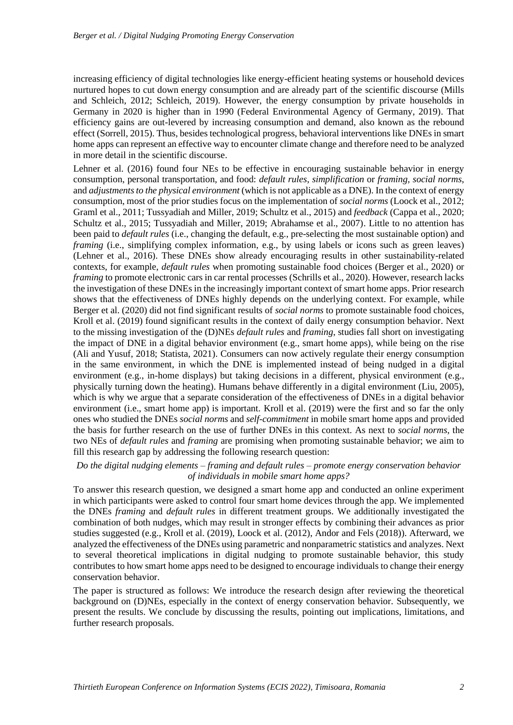increasing efficiency of digital technologies like energy-efficient heating systems or household devices nurtured hopes to cut down energy consumption and are already part of the scientific discourse (Mills and Schleich, 2012; Schleich, 2019). However, the energy consumption by private households in Germany in 2020 is higher than in 1990 (Federal Environmental Agency of Germany, 2019). That efficiency gains are out-levered by increasing consumption and demand, also known as the rebound effect (Sorrell, 2015). Thus, besides technological progress, behavioral interventions like DNEs in smart home apps can represent an effective way to encounter climate change and therefore need to be analyzed in more detail in the scientific discourse.

Lehner et al. (2016) found four NEs to be effective in encouraging sustainable behavior in energy consumption, personal transportation, and food: *default rules*, *simplification* or *framing*, *social norms*, and *adjustments to the physical environment* (which is not applicable as a DNE). In the context of energy consumption, most of the prior studies focus on the implementation of *social norms* (Loock et al., 2012; Graml et al., 2011; Tussyadiah and Miller, 2019; Schultz et al., 2015) and *feedback* (Cappa et al., 2020; Schultz et al., 2015; Tussyadiah and Miller, 2019; Abrahamse et al., 2007). Little to no attention has been paid to *default rules* (i.e., changing the default, e.g., pre-selecting the most sustainable option) and *framing* (i.e., simplifying complex information, e.g., by using labels or icons such as green leaves) (Lehner et al., 2016). These DNEs show already encouraging results in other sustainability-related contexts, for example, *default rules* when promoting sustainable food choices (Berger et al., 2020) or *framing* to promote electronic cars in car rental processes (Schrills et al., 2020). However, research lacks the investigation of these DNEs in the increasingly important context of smart home apps. Prior research shows that the effectiveness of DNEs highly depends on the underlying context. For example, while Berger et al. (2020) did not find significant results of *social norms* to promote sustainable food choices, Kroll et al. (2019) found significant results in the context of daily energy consumption behavior. Next to the missing investigation of the (D)NEs *default rules* and *framing*, studies fall short on investigating the impact of DNE in a digital behavior environment (e.g., smart home apps), while being on the rise (Ali and Yusuf, 2018; Statista, 2021). Consumers can now actively regulate their energy consumption in the same environment, in which the DNE is implemented instead of being nudged in a digital environment (e.g., in-home displays) but taking decisions in a different, physical environment (e.g., physically turning down the heating). Humans behave differently in a digital environment (Liu, 2005), which is why we argue that a separate consideration of the effectiveness of DNEs in a digital behavior environment (i.e., smart home app) is important. Kroll et al. (2019) were the first and so far the only ones who studied the DNEs *social norms* and *self-commitment* in mobile smart home apps and provided the basis for further research on the use of further DNEs in this context. As next to *social norms*, the two NEs of *default rules* and *framing* are promising when promoting sustainable behavior; we aim to fill this research gap by addressing the following research question:

#### *Do the digital nudging elements – framing and default rules – promote energy conservation behavior of individuals in mobile smart home apps?*

To answer this research question, we designed a smart home app and conducted an online experiment in which participants were asked to control four smart home devices through the app. We implemented the DNEs *framing* and *default rules* in different treatment groups. We additionally investigated the combination of both nudges, which may result in stronger effects by combining their advances as prior studies suggested (e.g., Kroll et al. (2019), Loock et al. (2012), Andor and Fels (2018)). Afterward, we analyzed the effectiveness of the DNEs using parametric and nonparametric statistics and analyzes. Next to several theoretical implications in digital nudging to promote sustainable behavior, this study contributes to how smart home apps need to be designed to encourage individuals to change their energy conservation behavior.

The paper is structured as follows: We introduce the research design after reviewing the theoretical background on (D)NEs, especially in the context of energy conservation behavior. Subsequently, we present the results. We conclude by discussing the results, pointing out implications, limitations, and further research proposals.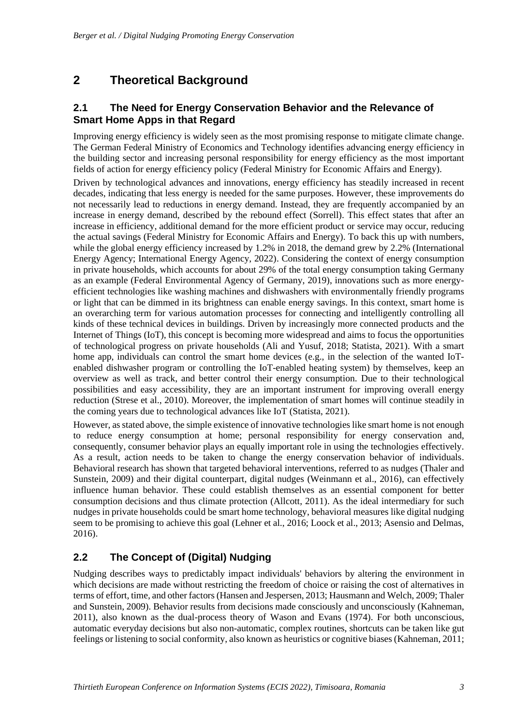# **2 Theoretical Background**

### **2.1 The Need for Energy Conservation Behavior and the Relevance of Smart Home Apps in that Regard**

Improving energy efficiency is widely seen as the most promising response to mitigate climate change. The German Federal Ministry of Economics and Technology identifies advancing energy efficiency in the building sector and increasing personal responsibility for energy efficiency as the most important fields of action for energy efficiency policy (Federal Ministry for Economic Affairs and Energy).

Driven by technological advances and innovations, energy efficiency has steadily increased in recent decades, indicating that less energy is needed for the same purposes. However, these improvements do not necessarily lead to reductions in energy demand. Instead, they are frequently accompanied by an increase in energy demand, described by the rebound effect (Sorrell). This effect states that after an increase in efficiency, additional demand for the more efficient product or service may occur, reducing the actual savings (Federal Ministry for Economic Affairs and Energy). To back this up with numbers, while the global energy efficiency increased by 1.2% in 2018, the demand grew by 2.2% (International Energy Agency; International Energy Agency, 2022). Considering the context of energy consumption in private households, which accounts for about 29% of the total energy consumption taking Germany as an example (Federal Environmental Agency of Germany, 2019), innovations such as more energyefficient technologies like washing machines and dishwashers with environmentally friendly programs or light that can be dimmed in its brightness can enable energy savings. In this context, smart home is an overarching term for various automation processes for connecting and intelligently controlling all kinds of these technical devices in buildings. Driven by increasingly more connected products and the Internet of Things (IoT), this concept is becoming more widespread and aims to focus the opportunities of technological progress on private households (Ali and Yusuf, 2018; Statista, 2021). With a smart home app, individuals can control the smart home devices (e.g., in the selection of the wanted IoTenabled dishwasher program or controlling the IoT-enabled heating system) by themselves, keep an overview as well as track, and better control their energy consumption. Due to their technological possibilities and easy accessibility, they are an important instrument for improving overall energy reduction (Strese et al., 2010). Moreover, the implementation of smart homes will continue steadily in the coming years due to technological advances like IoT (Statista, 2021).

However, as stated above, the simple existence of innovative technologies like smart home is not enough to reduce energy consumption at home; personal responsibility for energy conservation and, consequently, consumer behavior plays an equally important role in using the technologies effectively. As a result, action needs to be taken to change the energy conservation behavior of individuals. Behavioral research has shown that targeted behavioral interventions, referred to as nudges (Thaler and Sunstein, 2009) and their digital counterpart, digital nudges (Weinmann et al., 2016), can effectively influence human behavior. These could establish themselves as an essential component for better consumption decisions and thus climate protection (Allcott, 2011). As the ideal intermediary for such nudges in private households could be smart home technology, behavioral measures like digital nudging seem to be promising to achieve this goal (Lehner et al., 2016; Loock et al., 2013; Asensio and Delmas, 2016).

### **2.2 The Concept of (Digital) Nudging**

Nudging describes ways to predictably impact individuals' behaviors by altering the environment in which decisions are made without restricting the freedom of choice or raising the cost of alternatives in terms of effort, time, and other factors (Hansen and Jespersen, 2013; Hausmann and Welch, 2009; Thaler and Sunstein, 2009). Behavior results from decisions made consciously and unconsciously (Kahneman, 2011), also known as the dual-process theory of Wason and Evans (1974). For both unconscious, automatic everyday decisions but also non-automatic, complex routines, shortcuts can be taken like gut feelings or listening to social conformity, also known as heuristics or cognitive biases (Kahneman, 2011;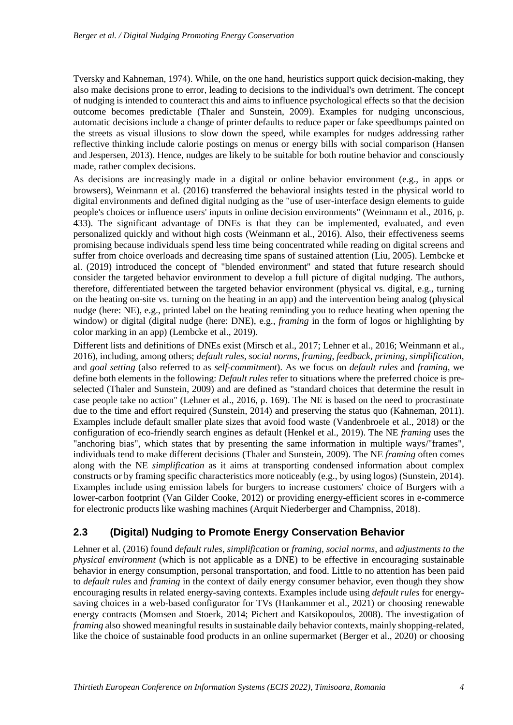Tversky and Kahneman, 1974). While, on the one hand, heuristics support quick decision-making, they also make decisions prone to error, leading to decisions to the individual's own detriment. The concept of nudging is intended to counteract this and aims to influence psychological effects so that the decision outcome becomes predictable (Thaler and Sunstein, 2009). Examples for nudging unconscious, automatic decisions include a change of printer defaults to reduce paper or fake speedbumps painted on the streets as visual illusions to slow down the speed, while examples for nudges addressing rather reflective thinking include calorie postings on menus or energy bills with social comparison (Hansen and Jespersen, 2013). Hence, nudges are likely to be suitable for both routine behavior and consciously made, rather complex decisions.

As decisions are increasingly made in a digital or online behavior environment (e.g., in apps or browsers), Weinmann et al. (2016) transferred the behavioral insights tested in the physical world to digital environments and defined digital nudging as the "use of user-interface design elements to guide people's choices or influence users' inputs in online decision environments" (Weinmann et al., 2016, p. 433). The significant advantage of DNEs is that they can be implemented, evaluated, and even personalized quickly and without high costs (Weinmann et al., 2016). Also, their effectiveness seems promising because individuals spend less time being concentrated while reading on digital screens and suffer from choice overloads and decreasing time spans of sustained attention (Liu, 2005). Lembcke et al. (2019) introduced the concept of "blended environment" and stated that future research should consider the targeted behavior environment to develop a full picture of digital nudging. The authors, therefore, differentiated between the targeted behavior environment (physical vs. digital, e.g., turning on the heating on-site vs. turning on the heating in an app) and the intervention being analog (physical nudge (here: NE), e.g., printed label on the heating reminding you to reduce heating when opening the window) or digital (digital nudge (here: DNE), e.g., *framing* in the form of logos or highlighting by color marking in an app) (Lembcke et al., 2019).

Different lists and definitions of DNEs exist (Mirsch et al., 2017; Lehner et al., 2016; Weinmann et al., 2016), including, among others; *default rules*, *social norms*, *framing*, *feedback*, *priming*, *simplification*, and *goal setting* (also referred to as *self-commitment*). As we focus on *default rules* and *framing*, we define both elements in the following: *Default rules* refer to situations where the preferred choice is preselected (Thaler and Sunstein, 2009) and are defined as "standard choices that determine the result in case people take no action" (Lehner et al., 2016, p. 169). The NE is based on the need to procrastinate due to the time and effort required (Sunstein, 2014) and preserving the status quo (Kahneman, 2011). Examples include default smaller plate sizes that avoid food waste (Vandenbroele et al., 2018) or the configuration of eco-friendly search engines as default (Henkel et al., 2019). The NE *framing* uses the "anchoring bias", which states that by presenting the same information in multiple ways/"frames", individuals tend to make different decisions (Thaler and Sunstein, 2009). The NE *framing* often comes along with the NE *simplification* as it aims at transporting condensed information about complex constructs or by framing specific characteristics more noticeably (e.g., by using logos) (Sunstein, 2014). Examples include using emission labels for burgers to increase customers' choice of Burgers with a lower-carbon footprint (Van Gilder Cooke, 2012) or providing energy-efficient scores in e-commerce for electronic products like washing machines (Arquit Niederberger and Champniss, 2018).

### **2.3 (Digital) Nudging to Promote Energy Conservation Behavior**

Lehner et al. (2016) found *default rules*, *simplification* or *framing*, *social norms*, and *adjustments to the physical environment* (which is not applicable as a DNE) to be effective in encouraging sustainable behavior in energy consumption, personal transportation, and food. Little to no attention has been paid to *default rules* and *framing* in the context of daily energy consumer behavior, even though they show encouraging results in related energy-saving contexts. Examples include using *default rules* for energysaving choices in a web-based configurator for TVs (Hankammer et al., 2021) or choosing renewable energy contracts (Momsen and Stoerk, 2014; Pichert and Katsikopoulos, 2008). The investigation of *framing* also showed meaningful results in sustainable daily behavior contexts, mainly shopping-related, like the choice of sustainable food products in an online supermarket (Berger et al., 2020) or choosing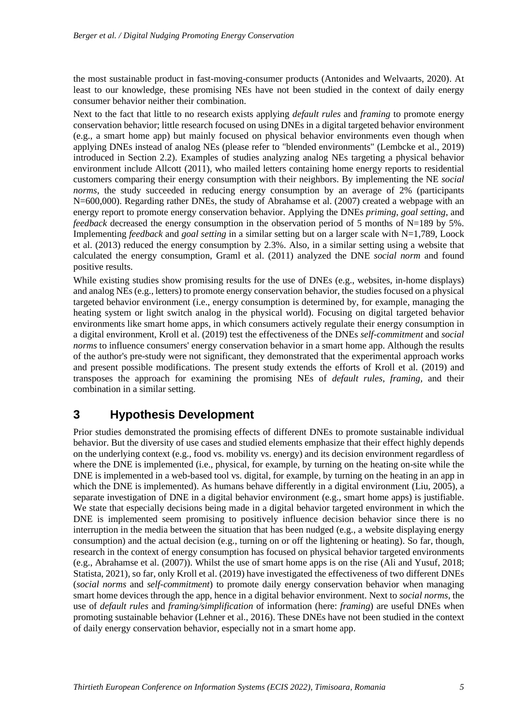the most sustainable product in fast-moving-consumer products (Antonides and Welvaarts, 2020). At least to our knowledge, these promising NEs have not been studied in the context of daily energy consumer behavior neither their combination.

Next to the fact that little to no research exists applying *default rules* and *framing* to promote energy conservation behavior; little research focused on using DNEs in a digital targeted behavior environment (e.g., a smart home app) but mainly focused on physical behavior environments even though when applying DNEs instead of analog NEs (please refer to "blended environments" (Lembcke et al., 2019) introduced in Section 2.2). Examples of studies analyzing analog NEs targeting a physical behavior environment include Allcott (2011), who mailed letters containing home energy reports to residential customers comparing their energy consumption with their neighbors. By implementing the NE *social norms*, the study succeeded in reducing energy consumption by an average of 2% (participants N=600,000). Regarding rather DNEs, the study of Abrahamse et al. (2007) created a webpage with an energy report to promote energy conservation behavior. Applying the DNEs *priming*, *goal setting*, and *feedback* decreased the energy consumption in the observation period of 5 months of N=189 by 5%. Implementing *feedback* and *goal setting* in a similar setting but on a larger scale with N=1,789, Loock et al. (2013) reduced the energy consumption by 2.3%. Also, in a similar setting using a website that calculated the energy consumption, Graml et al. (2011) analyzed the DNE *social norm* and found positive results.

While existing studies show promising results for the use of DNEs (e.g., websites, in-home displays) and analog NEs (e.g., letters) to promote energy conservation behavior, the studies focused on a physical targeted behavior environment (i.e., energy consumption is determined by, for example, managing the heating system or light switch analog in the physical world). Focusing on digital targeted behavior environments like smart home apps, in which consumers actively regulate their energy consumption in a digital environment, Kroll et al. (2019) test the effectiveness of the DNEs *self-commitment* and *social norms* to influence consumers' energy conservation behavior in a smart home app. Although the results of the author's pre-study were not significant, they demonstrated that the experimental approach works and present possible modifications. The present study extends the efforts of Kroll et al. (2019) and transposes the approach for examining the promising NEs of *default rules*, *framing,* and their combination in a similar setting.

### **3 Hypothesis Development**

Prior studies demonstrated the promising effects of different DNEs to promote sustainable individual behavior. But the diversity of use cases and studied elements emphasize that their effect highly depends on the underlying context (e.g., food vs. mobility vs. energy) and its decision environment regardless of where the DNE is implemented (i.e., physical, for example, by turning on the heating on-site while the DNE is implemented in a web-based tool vs. digital, for example, by turning on the heating in an app in which the DNE is implemented). As humans behave differently in a digital environment (Liu, 2005), a separate investigation of DNE in a digital behavior environment (e.g., smart home apps) is justifiable. We state that especially decisions being made in a digital behavior targeted environment in which the DNE is implemented seem promising to positively influence decision behavior since there is no interruption in the media between the situation that has been nudged (e.g., a website displaying energy consumption) and the actual decision (e.g., turning on or off the lightening or heating). So far, though, research in the context of energy consumption has focused on physical behavior targeted environments (e.g., Abrahamse et al. (2007)). Whilst the use of smart home apps is on the rise (Ali and Yusuf, 2018; Statista, 2021), so far, only Kroll et al. (2019) have investigated the effectiveness of two different DNEs (*social norms* and *self-commitment*) to promote daily energy conservation behavior when managing smart home devices through the app, hence in a digital behavior environment. Next to *social norms*, the use of *default rules* and *framing/simplification* of information (here: *framing*) are useful DNEs when promoting sustainable behavior (Lehner et al., 2016). These DNEs have not been studied in the context of daily energy conservation behavior, especially not in a smart home app.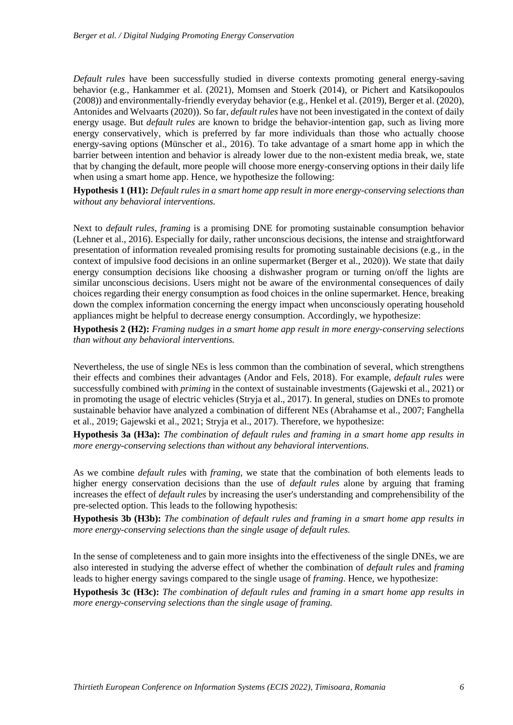*Default rules* have been successfully studied in diverse contexts promoting general energy-saving behavior (e.g., Hankammer et al. (2021), Momsen and Stoerk (2014), or Pichert and Katsikopoulos (2008)) and environmentally-friendly everyday behavior (e.g., Henkel et al. (2019), Berger et al. (2020), Antonides and Welvaarts (2020)). So far, *default rules* have not been investigated in the context of daily energy usage. But *default rules* are known to bridge the behavior-intention gap, such as living more energy conservatively, which is preferred by far more individuals than those who actually choose energy-saving options (Münscher et al., 2016). To take advantage of a smart home app in which the barrier between intention and behavior is already lower due to the non-existent media break, we, state that by changing the default, more people will choose more energy-conserving options in their daily life when using a smart home app. Hence, we hypothesize the following:

**Hypothesis 1 (H1):** *Default rules in a smart home app result in more energy-conserving selections than without any behavioral interventions.*

Next to *default rules*, *framing* is a promising DNE for promoting sustainable consumption behavior (Lehner et al., 2016). Especially for daily, rather unconscious decisions, the intense and straightforward presentation of information revealed promising results for promoting sustainable decisions (e.g., in the context of impulsive food decisions in an online supermarket (Berger et al., 2020)). We state that daily energy consumption decisions like choosing a dishwasher program or turning on/off the lights are similar unconscious decisions. Users might not be aware of the environmental consequences of daily choices regarding their energy consumption as food choices in the online supermarket. Hence, breaking down the complex information concerning the energy impact when unconsciously operating household appliances might be helpful to decrease energy consumption. Accordingly, we hypothesize:

**Hypothesis 2 (H2):** *Framing nudges in a smart home app result in more energy-conserving selections than without any behavioral interventions.*

Nevertheless, the use of single NEs is less common than the combination of several, which strengthens their effects and combines their advantages (Andor and Fels, 2018). For example, *default rules* were successfully combined with *priming* in the context of sustainable investments (Gajewski et al., 2021) or in promoting the usage of electric vehicles (Stryja et al., 2017). In general, studies on DNEs to promote sustainable behavior have analyzed a combination of different NEs (Abrahamse et al., 2007; Fanghella et al., 2019; Gajewski et al., 2021; Stryja et al., 2017). Therefore, we hypothesize:

**Hypothesis 3a (H3a):** *The combination of default rules and framing in a smart home app results in more energy-conserving selections than without any behavioral interventions.*

As we combine *default rules* with *framing*, we state that the combination of both elements leads to higher energy conservation decisions than the use of *default rules* alone by arguing that framing increases the effect of *default rules* by increasing the user's understanding and comprehensibility of the pre-selected option. This leads to the following hypothesis:

**Hypothesis 3b (H3b):** *The combination of default rules and framing in a smart home app results in more energy-conserving selections than the single usage of default rules.*

In the sense of completeness and to gain more insights into the effectiveness of the single DNEs, we are also interested in studying the adverse effect of whether the combination of *default rules* and *framing* leads to higher energy savings compared to the single usage of *framing*. Hence, we hypothesize:

**Hypothesis 3c (H3c):** *The combination of default rules and framing in a smart home app results in more energy-conserving selections than the single usage of framing.*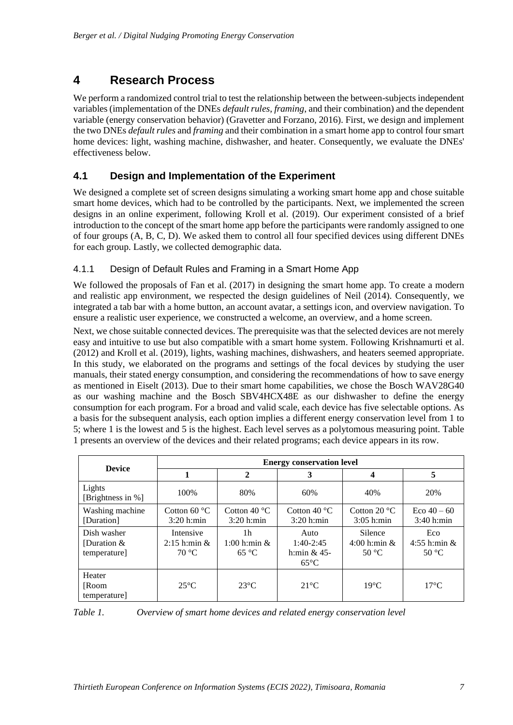### **4 Research Process**

We perform a randomized control trial to test the relationship between the between-subjects independent variables (implementation of the DNEs *default rules*, *framing*, and their combination) and the dependent variable (energy conservation behavior) (Gravetter and Forzano, 2016). First, we design and implement the two DNEs *default rules* and *framing* and their combination in a smart home app to control four smart home devices: light, washing machine, dishwasher, and heater. Consequently, we evaluate the DNEs' effectiveness below.

### **4.1 Design and Implementation of the Experiment**

We designed a complete set of screen designs simulating a working smart home app and chose suitable smart home devices, which had to be controlled by the participants. Next, we implemented the screen designs in an online experiment, following Kroll et al. (2019). Our experiment consisted of a brief introduction to the concept of the smart home app before the participants were randomly assigned to one of four groups (A, B, C, D). We asked them to control all four specified devices using different DNEs for each group. Lastly, we collected demographic data.

#### 4.1.1 Design of Default Rules and Framing in a Smart Home App

We followed the proposals of Fan et al. (2017) in designing the smart home app. To create a modern and realistic app environment, we respected the design guidelines of Neil (2014). Consequently, we integrated a tab bar with a home button, an account avatar, a settings icon, and overview navigation. To ensure a realistic user experience, we constructed a welcome, an overview, and a home screen.

Next, we chose suitable connected devices. The prerequisite was that the selected devices are not merely easy and intuitive to use but also compatible with a smart home system. Following Krishnamurti et al. (2012) and Kroll et al. (2019), lights, washing machines, dishwashers, and heaters seemed appropriate. In this study, we elaborated on the programs and settings of the focal devices by studying the user manuals, their stated energy consumption, and considering the recommendations of how to save energy as mentioned in Eiselt (2013). Due to their smart home capabilities, we chose the Bosch WAV28G40 as our washing machine and the Bosch SBV4HCX48E as our dishwasher to define the energy consumption for each program. For a broad and valid scale, each device has five selectable options. As a basis for the subsequent analysis, each option implies a different energy conservation level from 1 to 5; where 1 is the lowest and 5 is the highest. Each level serves as a polytomous measuring point. [Table](#page-7-0)  [1](#page-7-0) presents an overview of the devices and their related programs; each device appears in its row.

|                                              | <b>Energy conservation level</b>                 |                                                       |                                                         |                                                |                                         |  |  |
|----------------------------------------------|--------------------------------------------------|-------------------------------------------------------|---------------------------------------------------------|------------------------------------------------|-----------------------------------------|--|--|
| <b>Device</b>                                |                                                  | $\mathbf{2}$                                          | 3                                                       | 4                                              | 5                                       |  |  |
| Lights<br>[Brightness in %]                  | 100%                                             | 80%                                                   | 60%                                                     | 40%                                            | 20%                                     |  |  |
| Washing machine<br>[Duration]                | Cotton $60^{\circ}$ C<br>$3:20$ h:min            | Cotton 40 $\degree$ C<br>$3:20$ h:min                 | Cotton 40 $\degree$ C<br>$3:20$ h:min                   | Cotton $20^{\circ}$ C<br>$3:05$ h:min          | Eco $40 - 60$<br>$3:40$ h:min           |  |  |
| Dish washer<br>[Duration $&$<br>temperature] | Intensive<br>$2:15$ h:min $\&$<br>$70^{\circ}$ C | 1 <sub>h</sub><br>$1:00$ h:min $\&$<br>$65^{\circ}$ C | Auto<br>$1:40-2:45$<br>h: $min$ & 45-<br>$65^{\circ}$ C | Silence<br>$4:00$ h:min $\&$<br>$50^{\circ}$ C | Eco<br>4:55 h:min $&$<br>$50^{\circ}$ C |  |  |
| Heater<br>[Room<br>temperature]              | $25^{\circ}$ C                                   | $23^{\circ}C$                                         | $21^{\circ}$ C                                          | $19^{\circ}$ C                                 | $17^{\circ}$ C                          |  |  |

<span id="page-7-0"></span>*Table 1. Overview of smart home devices and related energy conservation level*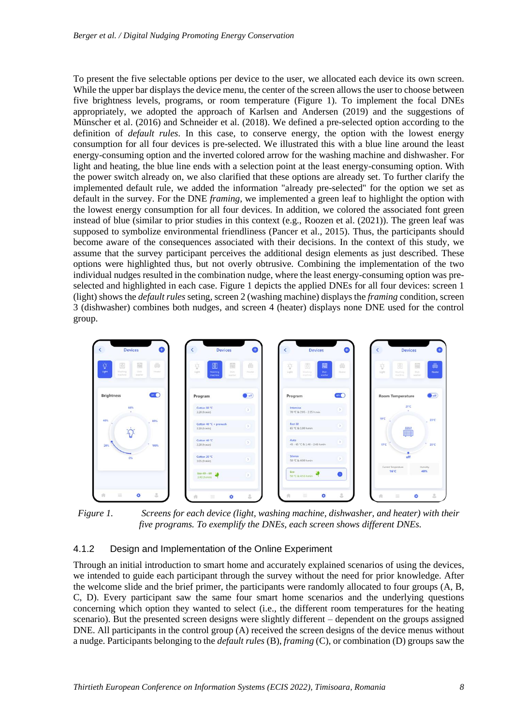To present the five selectable options per device to the user, we allocated each device its own screen. While the upper bar displays the device menu, the center of the screen allows the user to choose between five brightness levels, programs, or room temperature [\(Figure 1\)](#page-8-0). To implement the focal DNEs appropriately, we adopted the approach of Karlsen and Andersen (2019) and the suggestions of Münscher et al. (2016) and Schneider et al. (2018). We defined a pre-selected option according to the definition of *default rules*. In this case, to conserve energy, the option with the lowest energy consumption for all four devices is pre-selected. We illustrated this with a blue line around the least energy-consuming option and the inverted colored arrow for the washing machine and dishwasher. For light and heating, the blue line ends with a selection point at the least energy-consuming option. With the power switch already on, we also clarified that these options are already set. To further clarify the implemented default rule, we added the information "already pre-selected" for the option we set as default in the survey. For the DNE *framing*, we implemented a green leaf to highlight the option with the lowest energy consumption for all four devices. In addition, we colored the associated font green instead of blue (similar to prior studies in this context (e.g., Roozen et al.  $(2021)$ ). The green leaf was supposed to symbolize environmental friendliness (Pancer et al., 2015). Thus, the participants should become aware of the consequences associated with their decisions. In the context of this study, we assume that the survey participant perceives the additional design elements as just described. These options were highlighted thus, but not overly obtrusive. Combining the implementation of the two individual nudges resulted in the combination nudge, where the least energy-consuming option was preselected and highlighted in each case. [Figure 1](#page-8-0) depicts the applied DNEs for all four devices: screen 1 (light) shows the *default rules* seting, screen 2 (washing machine) displays the *framing* condition, screen 3 (dishwasher) combines both nudges, and screen 4 (heater) displays none DNE used for the control group.



<span id="page-8-0"></span>*Figure 1. Screens for each device (light, washing machine, dishwasher, and heater) with their five programs. To exemplify the DNEs, each screen shows different DNEs.*

#### 4.1.2 Design and Implementation of the Online Experiment

Through an initial introduction to smart home and accurately explained scenarios of using the devices, we intended to guide each participant through the survey without the need for prior knowledge. After the welcome slide and the brief primer, the participants were randomly allocated to four groups (A, B, C, D). Every participant saw the same four smart home scenarios and the underlying questions concerning which option they wanted to select (i.e., the different room temperatures for the heating scenario). But the presented screen designs were slightly different – dependent on the groups assigned DNE. All participants in the control group (A) received the screen designs of the device menus without a nudge. Participants belonging to the *default rules* (B), *framing* (C), or combination (D) groups saw the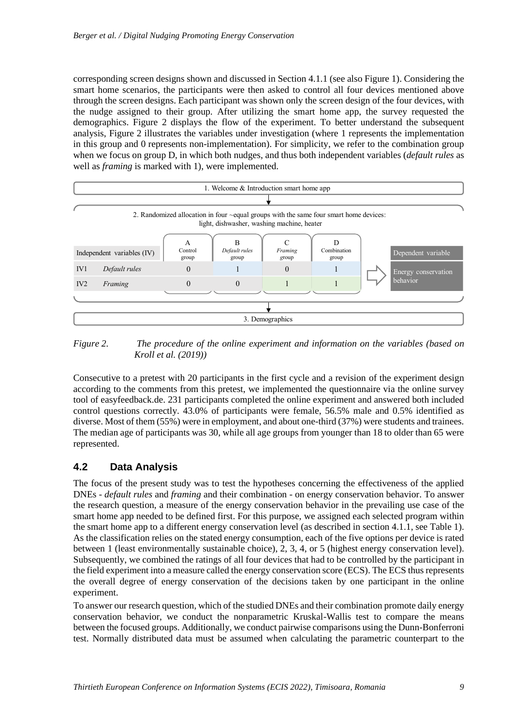corresponding screen designs shown and discussed in Section 4.1.1 (see also [Figure 1\)](#page-8-0). Considering the smart home scenarios, the participants were then asked to control all four devices mentioned above through the screen designs. Each participant was shown only the screen design of the four devices, with the nudge assigned to their group. After utilizing the smart home app, the survey requested the demographics. Figure 2 displays the flow of the experiment. To better understand the subsequent analysis, Figure 2 illustrates the variables under investigation (where 1 represents the implementation in this group and 0 represents non-implementation). For simplicity, we refer to the combination group when we focus on group D, in which both nudges, and thus both independent variables (*default rules* as well as *framing* is marked with 1), were implemented.



*Figure 2. The procedure of the online experiment and information on the variables (based on Kroll et al. (2019))*

Consecutive to a pretest with 20 participants in the first cycle and a revision of the experiment design according to the comments from this pretest, we implemented the questionnaire via the online survey tool of easyfeedback.de. 231 participants completed the online experiment and answered both included control questions correctly. 43.0% of participants were female, 56.5% male and 0.5% identified as diverse. Most of them (55%) were in employment, and about one-third (37%) were students and trainees. The median age of participants was 30, while all age groups from younger than 18 to older than 65 were represented.

#### **4.2 Data Analysis**

The focus of the present study was to test the hypotheses concerning the effectiveness of the applied DNEs - *default rules* and *framing* and their combination - on energy conservation behavior. To answer the research question, a measure of the energy conservation behavior in the prevailing use case of the smart home app needed to be defined first. For this purpose, we assigned each selected program within the smart home app to a different energy conservation level (as described in section 4.1.1, see [Table 1\)](#page-7-0). As the classification relies on the stated energy consumption, each of the five options per device is rated between 1 (least environmentally sustainable choice), 2, 3, 4, or 5 (highest energy conservation level). Subsequently, we combined the ratings of all four devices that had to be controlled by the participant in the field experiment into a measure called the energy conservation score (ECS). The ECS thus represents the overall degree of energy conservation of the decisions taken by one participant in the online experiment.

To answer our research question, which of the studied DNEs and their combination promote daily energy conservation behavior, we conduct the nonparametric Kruskal-Wallis test to compare the means between the focused groups. Additionally, we conduct pairwise comparisons using the Dunn-Bonferroni test. Normally distributed data must be assumed when calculating the parametric counterpart to the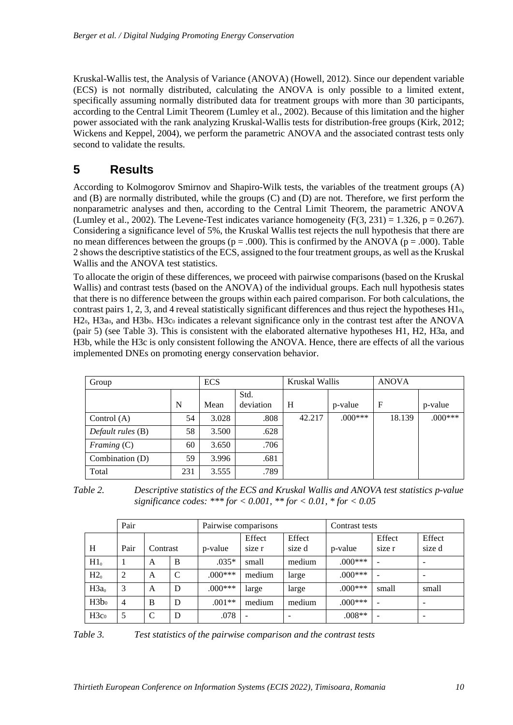Kruskal-Wallis test, the Analysis of Variance (ANOVA) (Howell, 2012). Since our dependent variable (ECS) is not normally distributed, calculating the ANOVA is only possible to a limited extent, specifically assuming normally distributed data for treatment groups with more than 30 participants, according to the Central Limit Theorem (Lumley et al., 2002). Because of this limitation and the higher power associated with the rank analyzing Kruskal-Wallis tests for distribution-free groups (Kirk, 2012; Wickens and Keppel, 2004), we perform the parametric ANOVA and the associated contrast tests only second to validate the results.

### **5 Results**

According to Kolmogorov Smirnov and Shapiro-Wilk tests, the variables of the treatment groups (A) and (B) are normally distributed, while the groups (C) and (D) are not. Therefore, we first perform the nonparametric analyses and then, according to the Central Limit Theorem, the parametric ANOVA (Lumley et al., 2002). The Levene-Test indicates variance homogeneity  $(F(3, 231) = 1.326, p = 0.267)$ . Considering a significance level of 5%, the Kruskal Wallis test rejects the null hypothesis that there are no mean differences between the groups ( $p = .000$ ). This is confirmed by the ANOVA ( $p = .000$ ). Table [2](#page-10-0) shows the descriptive statistics of the ECS, assigned to the four treatment groups, as well as the Kruskal Wallis and the ANOVA test statistics.

To allocate the origin of these differences, we proceed with pairwise comparisons (based on the Kruskal Wallis) and contrast tests (based on the ANOVA) of the individual groups. Each null hypothesis states that there is no difference between the groups within each paired comparison. For both calculations, the contrast pairs 1, 2, 3, and 4 reveal statistically significant differences and thus reject the hypotheses H10, H<sub>20</sub>, H<sub>3a0</sub>, and H<sub>3</sub>b<sub>0</sub>. H<sub>3c0</sub> indicates a relevant significance only in the contrast test after the ANOVA (pair 5) (see Table 3). This is consistent with the elaborated alternative hypotheses H1, H2, H3a, and H3b, while the H3c is only consistent following the ANOVA. Hence, there are effects of all the various implemented DNEs on promoting energy conservation behavior.

| Group             |     | <b>ECS</b> |                   | Kruskal Wallis |           | <b>ANOVA</b> |           |
|-------------------|-----|------------|-------------------|----------------|-----------|--------------|-----------|
|                   | N   | Mean       | Std.<br>deviation | H              | p-value   | F            | p-value   |
| Control $(A)$     | 54  | 3.028      | .808              | 42.217         | $.000***$ | 18.139       | $.000***$ |
| Default rules (B) | 58  | 3.500      | .628              |                |           |              |           |
| Framing $(C)$     | 60  | 3.650      | .706              |                |           |              |           |
| Combination (D)   | 59  | 3.996      | .681              |                |           |              |           |
| Total             | 231 | 3.555      | .789              |                |           |              |           |

<span id="page-10-0"></span>

| Table 2. | Descriptive statistics of the ECS and Kruskal Wallis and ANOVA test statistics p-value |
|----------|----------------------------------------------------------------------------------------|
|          | significance codes: *** for < 0.001, ** for < 0.01, * for < 0.05                       |

|                  | Pair           |          | Pairwise comparisons |           |                          | Contrast tests           |           |                  |                          |
|------------------|----------------|----------|----------------------|-----------|--------------------------|--------------------------|-----------|------------------|--------------------------|
| H                | Pair           | Contrast |                      | p-value   | Effect<br>size r         | Effect<br>size d         | p-value   | Effect<br>size r | Effect<br>size d         |
| H1 <sub>0</sub>  |                | A        | B                    | $.035*$   | small                    | medium                   | $.000***$ |                  |                          |
| H2 <sub>0</sub>  | 2              | A        | $\mathsf{C}$         | $.000***$ | medium                   | large                    | $.000***$ |                  | -                        |
| H3a <sub>0</sub> | 3              | A        | D                    | $.000***$ | large                    | large                    | $.000***$ | small            | small                    |
| H3b <sub>0</sub> | $\overline{4}$ | B        | D                    | $.001**$  | medium                   | medium                   | $.000***$ |                  |                          |
| H3c <sub>0</sub> | 5              | C        | D                    | .078      | $\overline{\phantom{0}}$ | $\overline{\phantom{a}}$ | $.008**$  |                  | $\overline{\phantom{a}}$ |

*Table 3. Test statistics of the pairwise comparison and the contrast tests*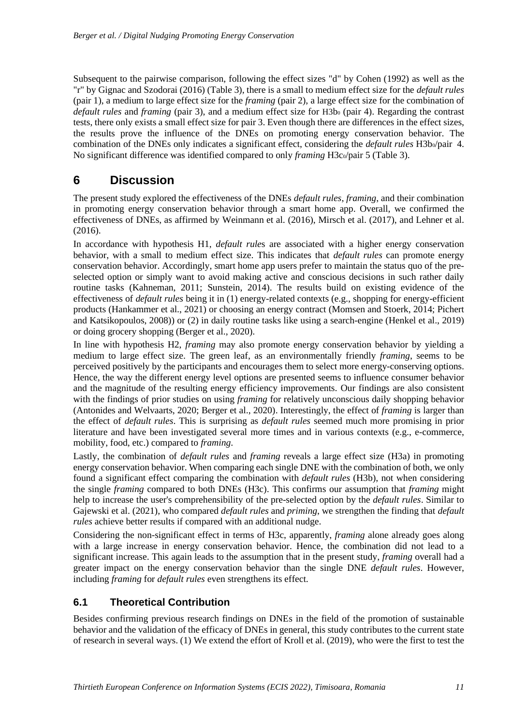Subsequent to the pairwise comparison, following the effect sizes "d" by Cohen (1992) as well as the "r" by Gignac and Szodorai (2016) (Table 3), there is a small to medium effect size for the *default rules* (pair 1), a medium to large effect size for the *framing* (pair 2), a large effect size for the combination of *default rules* and *framing* (pair 3), and a medium effect size for H3b<sub>0</sub> (pair 4). Regarding the contrast tests, there only exists a small effect size for pair 3. Even though there are differences in the effect sizes, the results prove the influence of the DNEs on promoting energy conservation behavior. The combination of the DNEs only indicates a significant effect, considering the *default rules* H3b<sub>0</sub>/pair 4. No significant difference was identified compared to only *framing* H3c<sub>0</sub>/pair 5 (Table 3).

### **6 Discussion**

The present study explored the effectiveness of the DNEs *default rules*, *framing*, and their combination in promoting energy conservation behavior through a smart home app. Overall, we confirmed the effectiveness of DNEs, as affirmed by Weinmann et al. (2016), Mirsch et al. (2017), and Lehner et al. (2016).

In accordance with hypothesis H1, *default rule*s are associated with a higher energy conservation behavior, with a small to medium effect size. This indicates that *default rules* can promote energy conservation behavior. Accordingly, smart home app users prefer to maintain the status quo of the preselected option or simply want to avoid making active and conscious decisions in such rather daily routine tasks (Kahneman, 2011; Sunstein, 2014). The results build on existing evidence of the effectiveness of *default rules* being it in (1) energy-related contexts (e.g., shopping for energy-efficient products (Hankammer et al., 2021) or choosing an energy contract (Momsen and Stoerk, 2014; Pichert and Katsikopoulos, 2008)) or (2) in daily routine tasks like using a search-engine (Henkel et al., 2019) or doing grocery shopping (Berger et al., 2020).

In line with hypothesis H2, *framing* may also promote energy conservation behavior by yielding a medium to large effect size. The green leaf, as an environmentally friendly *framing*, seems to be perceived positively by the participants and encourages them to select more energy-conserving options. Hence, the way the different energy level options are presented seems to influence consumer behavior and the magnitude of the resulting energy efficiency improvements. Our findings are also consistent with the findings of prior studies on using *framing* for relatively unconscious daily shopping behavior (Antonides and Welvaarts, 2020; Berger et al., 2020). Interestingly, the effect of *framing* is larger than the effect of *default rules*. This is surprising as *default rules* seemed much more promising in prior literature and have been investigated several more times and in various contexts (e.g., e-commerce, mobility, food, etc.) compared to *framing*.

Lastly, the combination of *default rules* and *framing* reveals a large effect size (H3a) in promoting energy conservation behavior. When comparing each single DNE with the combination of both, we only found a significant effect comparing the combination with *default rules* (H3b), not when considering the single *framing* compared to both DNEs (H3c). This confirms our assumption that *framing* might help to increase the user's comprehensibility of the pre-selected option by the *default rules*. Similar to Gajewski et al. (2021), who compared *default rules* and *priming*, we strengthen the finding that *default rules* achieve better results if compared with an additional nudge.

Considering the non-significant effect in terms of H3c, apparently, *framing* alone already goes along with a large increase in energy conservation behavior. Hence, the combination did not lead to a significant increase. This again leads to the assumption that in the present study, *framing* overall had a greater impact on the energy conservation behavior than the single DNE *default rules*. However, including *framing* for *default rules* even strengthens its effect.

### **6.1 Theoretical Contribution**

Besides confirming previous research findings on DNEs in the field of the promotion of sustainable behavior and the validation of the efficacy of DNEs in general, this study contributes to the current state of research in several ways. (1) We extend the effort of Kroll et al. (2019), who were the first to test the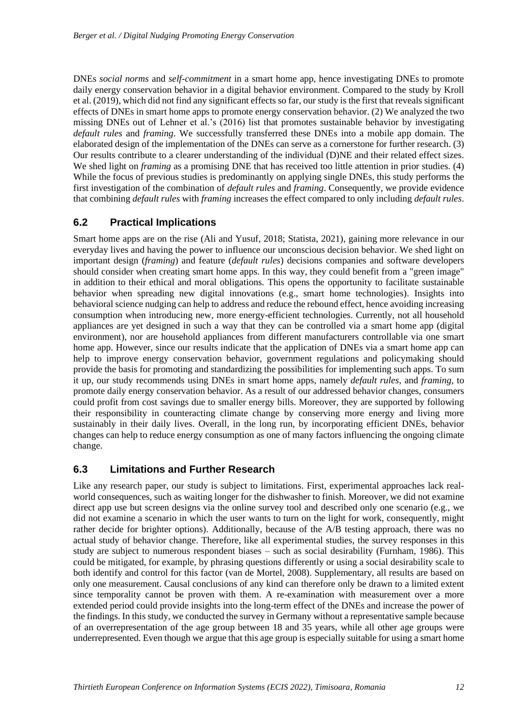DNEs *social norms* and *self-commitment* in a smart home app, hence investigating DNEs to promote daily energy conservation behavior in a digital behavior environment. Compared to the study by Kroll et al. (2019), which did not find any significant effects so far, our study is the first that reveals significant effects of DNEs in smart home apps to promote energy conservation behavior. (2) We analyzed the two missing DNEs out of Lehner et al.'s (2016) list that promotes sustainable behavior by investigating *default rules* and *framing*. We successfully transferred these DNEs into a mobile app domain. The elaborated design of the implementation of the DNEs can serve as a cornerstone for further research. (3) Our results contribute to a clearer understanding of the individual (D)NE and their related effect sizes. We shed light on *framing* as a promising DNE that has received too little attention in prior studies. (4) While the focus of previous studies is predominantly on applying single DNEs, this study performs the first investigation of the combination of *default rules* and *framing*. Consequently, we provide evidence that combining *default rules* with *framing* increases the effect compared to only including *default rules*.

### **6.2 Practical Implications**

Smart home apps are on the rise (Ali and Yusuf, 2018; Statista, 2021), gaining more relevance in our everyday lives and having the power to influence our unconscious decision behavior. We shed light on important design (*framing*) and feature (*default rules*) decisions companies and software developers should consider when creating smart home apps. In this way, they could benefit from a "green image" in addition to their ethical and moral obligations. This opens the opportunity to facilitate sustainable behavior when spreading new digital innovations (e.g., smart home technologies). Insights into behavioral science nudging can help to address and reduce the rebound effect, hence avoiding increasing consumption when introducing new, more energy-efficient technologies. Currently, not all household appliances are yet designed in such a way that they can be controlled via a smart home app (digital environment), nor are household appliances from different manufacturers controllable via one smart home app. However, since our results indicate that the application of DNEs via a smart home app can help to improve energy conservation behavior, government regulations and policymaking should provide the basis for promoting and standardizing the possibilities for implementing such apps. To sum it up, our study recommends using DNEs in smart home apps, namely *default rules,* and *framing,* to promote daily energy conservation behavior. As a result of our addressed behavior changes, consumers could profit from cost savings due to smaller energy bills. Moreover, they are supported by following their responsibility in counteracting climate change by conserving more energy and living more sustainably in their daily lives. Overall, in the long run, by incorporating efficient DNEs, behavior changes can help to reduce energy consumption as one of many factors influencing the ongoing climate change.

#### **6.3 Limitations and Further Research**

Like any research paper, our study is subject to limitations. First, experimental approaches lack realworld consequences, such as waiting longer for the dishwasher to finish. Moreover, we did not examine direct app use but screen designs via the online survey tool and described only one scenario (e.g., we did not examine a scenario in which the user wants to turn on the light for work, consequently, might rather decide for brighter options). Additionally, because of the A/B testing approach, there was no actual study of behavior change. Therefore, like all experimental studies, the survey responses in this study are subject to numerous respondent biases – such as social desirability (Furnham, 1986). This could be mitigated, for example, by phrasing questions differently or using a social desirability scale to both identify and control for this factor (van de Mortel, 2008). Supplementary, all results are based on only one measurement. Causal conclusions of any kind can therefore only be drawn to a limited extent since temporality cannot be proven with them. A re-examination with measurement over a more extended period could provide insights into the long-term effect of the DNEs and increase the power of the findings. In this study, we conducted the survey in Germany without a representative sample because of an overrepresentation of the age group between 18 and 35 years, while all other age groups were underrepresented. Even though we argue that this age group is especially suitable for using a smart home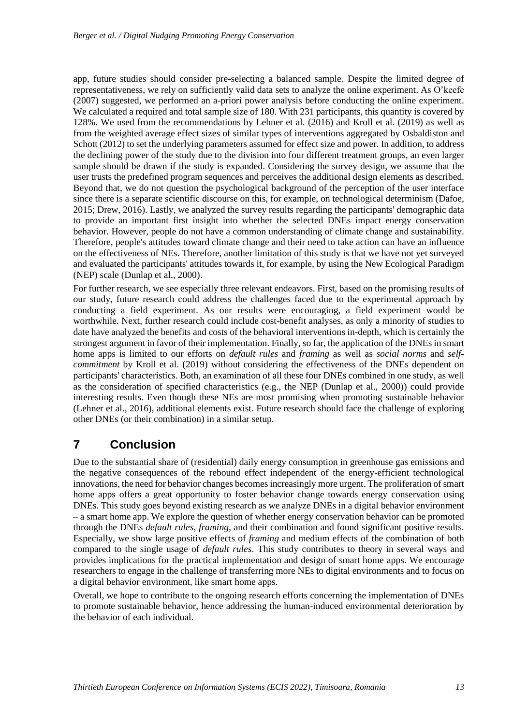app, future studies should consider pre-selecting a balanced sample. Despite the limited degree of representativeness, we rely on sufficiently valid data sets to analyze the online experiment. As O'k (2007) suggested, we performed an a-priori power analysis before conducting the online experiment. We calculated a required and total sample size of 180. With 231 participants, this quantity is covered by 128%. We used from the recommendations by Lehner et al. (2016) and Kroll et al. (2019) as well as from the weighted average effect sizes of similar types of interventions aggregated by Osbaldiston and Schott (2012) to set the underlying parameters assumed for effect size and power. In addition, to address the declining power of the study due to the division into four different treatment groups, an even larger sample should be drawn if the study is expanded. Considering the survey design, we assume that the user trusts the predefined program sequences and perceives the additional design elements as described. Beyond that, we do not question the psychological background of the perception of the user interface since there is a separate scientific discourse on this, for example, on technological determinism (Dafoe, 2015; Drew, 2016). Lastly, we analyzed the survey results regarding the participants' demographic data to provide an important first insight into whether the selected DNEs impact energy conservation behavior. However, people do not have a common understanding of climate change and sustainability. Therefore, people's attitudes toward climate change and their need to take action can have an influence on the effectiveness of NEs. Therefore, another limitation of this study is that we have not yet surveyed and evaluated the participants' attitudes towards it, for example, by using the New Ecological Paradigm (NEP) scale (Dunlap et al., 2000).

For further research, we see especially three relevant endeavors. First, based on the promising results of our study, future research could address the challenges faced due to the experimental approach by conducting a field experiment. As our results were encouraging, a field experiment would be worthwhile. Next, further research could include cost-benefit analyses, as only a minority of studies to date have analyzed the benefits and costs of the behavioral interventions in-depth, which is certainly the strongest argument in favor of their implementation. Finally, so far, the application of the DNEs in smart home apps is limited to our efforts on *default rules* and *framing* as well as *social norms* and *selfcommitment* by Kroll et al. (2019) without considering the effectiveness of the DNEs dependent on participants' characteristics. Both, an examination of all these four DNEs combined in one study, as well as the consideration of specified characteristics (e.g., the NEP (Dunlap et al., 2000)) could provide interesting results. Even though these NEs are most promising when promoting sustainable behavior (Lehner et al., 2016), additional elements exist. Future research should face the challenge of exploring other DNEs (or their combination) in a similar setup.

## **7 Conclusion**

Due to the substantial share of (residential) daily energy consumption in greenhouse gas emissions and the negative consequences of the rebound effect independent of the energy-efficient technological innovations, the need for behavior changes becomesincreasingly more urgent. The proliferation of smart home apps offers a great opportunity to foster behavior change towards energy conservation using DNEs. This study goes beyond existing research as we analyze DNEs in a digital behavior environment – a smart home app. We explore the question of whether energy conservation behavior can be promoted through the DNEs *default rules*, *framing*, and their combination and found significant positive results. Especially, we show large positive effects of *framing* and medium effects of the combination of both compared to the single usage of *default rules*. This study contributes to theory in several ways and provides implications for the practical implementation and design of smart home apps. We encourage researchers to engage in the challenge of transferring more NEs to digital environments and to focus on a digital behavior environment, like smart home apps.

Overall, we hope to contribute to the ongoing research efforts concerning the implementation of DNEs to promote sustainable behavior, hence addressing the human-induced environmental deterioration by the behavior of each individual.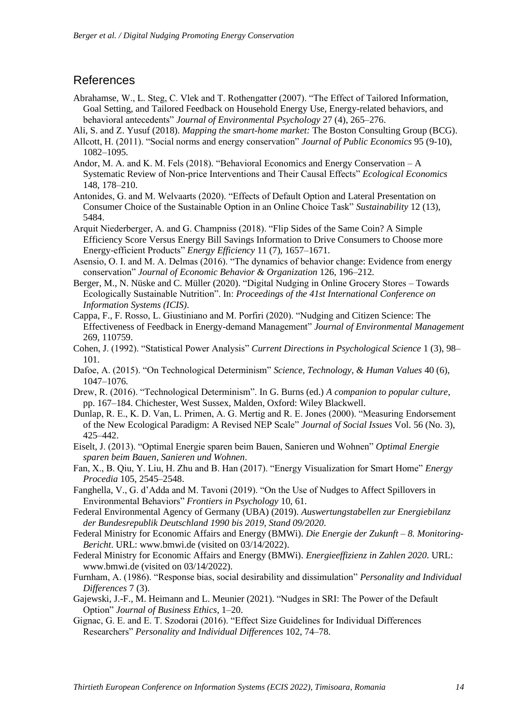### References

- Abrahamse, W., L. Steg, C. Vlek and T. Rothengatter (2007). "The Effect of Tailored Information, Goal Setting, and Tailored Feedback on Household Energy Use, Energy-related behaviors, and behavioral antecedents" *Journal of Environmental Psychology* 27 (4), 265–276.
- Ali, S. and Z. Yusuf (2018). *Mapping the smart-home market:* The Boston Consulting Group (BCG).
- Allcott, H. (2011). "Social norms and energy conservation" *Journal of Public Economics* 95 (9-10), 1082–1095.
- Andor, M. A. and K. M. Fels (2018). "Behavioral Economics and Energy Conservation  $-A$ Systematic Review of Non-price Interventions and Their Causal Effects" Ecological Economics 148, 178–210.
- Antonides, G. and M. Welvaarts (2020). "Effects of Default Option and Lateral Presentation on Consumer Choice of the Sustainable Option in an Online Choice Task" Sustainability 12 (13), 5484.
- Arquit Niederberger, A. and G. Champniss (2018). "Flip Sides of the Same Coin? A Simple Efficiency Score Versus Energy Bill Savings Information to Drive Consumers to Choose more Energy-efficient Products" *Energy Efficiency* 11 (7), 1657–1671.
- Asensio, O. I. and M. A. Delmas (2016). "The dynamics of behavior change: Evidence from energy " *Journal of Economic Behavior & Organization* 126, 196–212.
- Berger, M., N. Nüske and C. Müller (2020). "Digital Nudging in Online Grocery Stores Towards Ecologically Sustainable Nutrition". In: Proceedings of the 41st International Conference on *Information Systems (ICIS)*.
- Cappa, F., F. Rosso, L. Giustiniano and M. Porfiri (2020). "Nudging and Citizen Science: The Effectiveness of Feedback in Energy-demand Management" *Journal of Environmental Management* 269, 110759.
- Cohen, J. (1992). "Statistical Power Analysis" Current Directions in Psychological Science 1 (3), 98-101.
- Dafoe, A. (2015). "On Technological Determinism" Science, Technology, & Human Values 40 (6), 1047–1076.
- Drew, R. (2016). "Technological Determinism". In G. Burns (ed.) *A companion to popular culture*, pp. 167–184. Chichester, West Sussex, Malden, Oxford: Wiley Blackwell.
- Dunlap, R. E., K. D. Van, L. Primen, A. G. Mertig and R. E. Jones (2000). "Measuring Endorsement of the New Ecological Paradigm: A Revised NEP Scale" *Journal of Social Issues* Vol. 56 (No. 3), 425–442.
- Eiselt, J. (2013). "Optimal Energie sparen beim Bauen, Sanieren und Wohnen" *Optimal Energie sparen beim Bauen, Sanieren und Wohnen*.
- Fan, X., B. Oiu, Y. Liu, H. Zhu and B. Han (2017). "Energy Visualization for Smart Home" *Energy Procedia* 105, 2545–2548.
- Fanghella, V., G. d'Adda and M. Tavoni (2019). "On the Use of Nudges to Affect Spillovers in Environmental Behaviors" *Frontiers in Psychology* 10, 61.
- Federal Environmental Agency of Germany (UBA) (2019). *Auswertungstabellen zur Energiebilanz der Bundesrepublik Deutschland 1990 bis 2019, Stand 09/2020*.
- Federal Ministry for Economic Affairs and Energy (BMWi). *Die Energie der Zukunft – 8. Monitoring-Bericht*. URL: www.bmwi.de (visited on 03/14/2022).
- Federal Ministry for Economic Affairs and Energy (BMWi). *Energieeffizienz in Zahlen 2020*. URL: www.bmwi.de (visited on 03/14/2022).
- Furnham, A. (1986). "Response bias, social desirability and dissimulation" Personality and Individual *Differences* 7 (3).
- Gajewski, J.-F., M. Heimann and L. Meunier (2021). "Nudges in SRI: The Power of the Default Option" *Journal of Business Ethics*, 1–20.
- Gignac, G. E. and E. T. Szodorai (2016). "Effect Size Guidelines for Individual Differences Researchers" *Personality and Individual Differences* 102, 74–78.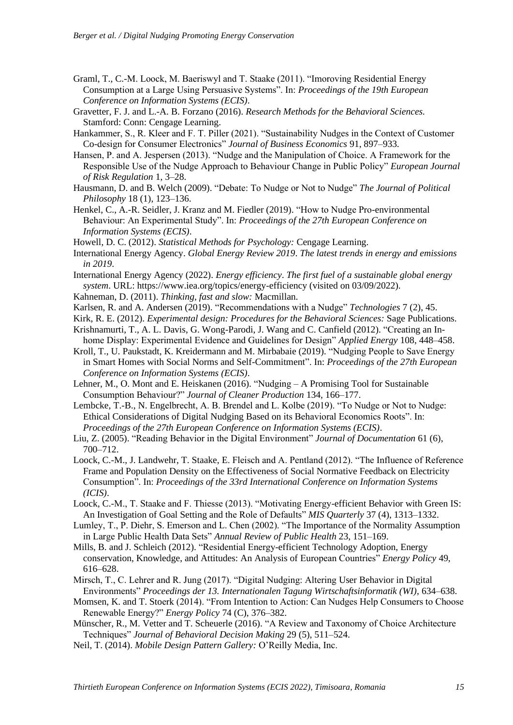- Graml, T., C.-M. Loock, M. Baeriswyl and T. Staake (2011). "Imoroving Residential Energy Consumption at a Large Using Persuasive Systems". In: *Proceedings of the 19th European Conference on Information Systems (ECIS)*.
- Gravetter, F. J. and L.-A. B. Forzano (2016). *Research Methods for the Behavioral Sciences.*  Stamford: Conn: Cengage Learning.
- Hankammer, S., R. Kleer and F. T. Piller (2021). "Sustainability Nudges in the Context of Customer Co-design for Consumer Electronics" Journal of Business Economics 91, 897–933.
- Hansen, P. and A. Jespersen (2013). "Nudge and the Manipulation of Choice. A Framework for the Responsible Use of the Nudge Approach to Behaviour Change in Public Policy" *European Journal of Risk Regulation* 1, 3–28.
- Hausmann, D. and B. Welch (2009). "Debate: To Nudge or Not to Nudge" *The Journal of Political Philosophy* 18 (1), 123–136.
- Henkel, C., A.-R. Seidler, J. Kranz and M. Fiedler (2019). "How to Nudge Pro-environmental Behaviour: An Experimental Study". In: *Proceedings of the 27th European Conference on Information Systems (ECIS)*.
- Howell, D. C. (2012). *Statistical Methods for Psychology:* Cengage Learning.
- International Energy Agency. *Global Energy Review 2019*. *The latest trends in energy and emissions in 2019*.
- International Energy Agency (2022). *Energy efficiency*. *The first fuel of a sustainable global energy system*. URL: https://www.iea.org/topics/energy-efficiency (visited on 03/09/2022).
- Kahneman, D. (2011). *Thinking, fast and slow:* Macmillan.
- Karlsen, R. and A. Andersen (2019). "Recommendations with a Nudge" *Technologies* 7 (2), 45.
- Kirk, R. E. (2012). *Experimental design: Procedures for the Behavioral Sciences:* Sage Publications. Krishnamurti, T., A. L. Davis, G. Wong-Parodi, J. Wang and C. Canfield (2012). "Creating an In-
- home Display: Experimental Evidence and Guidelines for Design" *Applied Energy* 108, 448–458. Kroll, T., U. Paukstadt, K. Kreidermann and M. Mirbabaie (2019). "Nudging People to Save Energy in Smart Homes with Social Norms and Self-Commitment". In: Proceedings of the 27th European *Conference on Information Systems (ECIS)*.
- Lehner, M., O. Mont and E. Heiskanen (2016). "Nudging  $-A$  Promising Tool for Sustainable ?" *Journal of Cleaner Production* 134, 166–177.
- Lembcke, T.-B., N. Engelbrecht, A. B. Brendel and L. Kolbe (2019). "To Nudge or Not to Nudge: Ethical Considerations of Digital Nudging Based on its Behavioral Economics Roots". In: *Proceedings of the 27th European Conference on Information Systems (ECIS)*.
- Liu, Z. (2005). "Reading Behavior in the Digital Environment" *Journal of Documentation* 61 (6), 700–712.
- Loock, C.-M., J. Landwehr, T. Staake, E. Fleisch and A. Pentland (2012). "The Influence of Reference Frame and Population Density on the Effectiveness of Social Normative Feedback on Electricity Consumption". In: Proceedings of the 33rd International Conference on Information Systems *(ICIS)*.
- Loock, C.-M., T. Staake and F. Thiesse (2013). "Motivating Energy-efficient Behavior with Green IS: An Investigation of Goal Setting and the Role of Defaults" *MIS Quarterly* 37 (4), 1313–1332.
- Lumley, T., P. Diehr, S. Emerson and L. Chen (2002). "The Importance of the Normality Assumption in Large Public Health Data Sets" *Annual Review of Public Health* 23, 151–169.
- Mills, B. and J. Schleich (2012). "Residential Energy-efficient Technology Adoption, Energy conservation, Knowledge, and Attitudes: An Analysis of European Countries" *Energy Policy* 49, 616–628.
- Mirsch, T., C. Lehrer and R. Jung (2017). "Digital Nudging: Altering User Behavior in Digital " *Proceedings der 13. Internationalen Tagung Wirtschaftsinformatik (WI)*, 634–638.
- Momsen, K. and T. Stoerk (2014). "From Intention to Action: Can Nudges Help Consumers to Choose Renewable Energy?" *Energy Policy* 74 (C), 376–382.
- Münscher, R., M. Vetter and T. Scheuerle (2016). "A Review and Taxonomy of Choice Architecture Techniques" Journal of Behavioral Decision Making 29 (5), 511–524.
- Neil, T. (2014). *Mobile Design Pattern Gallery: O'Reilly Media*, Inc.